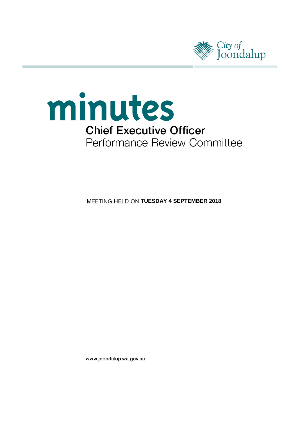



**MEETING HELD ON TUESDAY 4 SEPTEMBER 2018** 

www.joondalup.wa.gov.au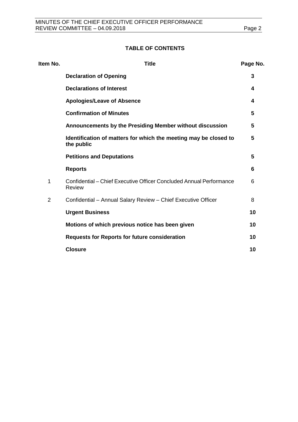# **TABLE OF CONTENTS**

| Item No.       | <b>Title</b>                                                                         | Page No. |
|----------------|--------------------------------------------------------------------------------------|----------|
|                | <b>Declaration of Opening</b>                                                        | 3        |
|                | <b>Declarations of Interest</b>                                                      | 4        |
|                | <b>Apologies/Leave of Absence</b>                                                    | 4        |
|                | <b>Confirmation of Minutes</b>                                                       | 5        |
|                | Announcements by the Presiding Member without discussion                             | 5        |
|                | Identification of matters for which the meeting may be closed to<br>the public       | 5        |
|                | <b>Petitions and Deputations</b>                                                     | 5        |
|                | <b>Reports</b>                                                                       | 6        |
| 1              | Confidential – Chief Executive Officer Concluded Annual Performance<br><b>Review</b> | 6        |
| $\overline{2}$ | Confidential - Annual Salary Review - Chief Executive Officer                        | 8        |
|                | <b>Urgent Business</b>                                                               | 10       |
|                | Motions of which previous notice has been given                                      | 10       |
|                | <b>Requests for Reports for future consideration</b>                                 | 10       |
|                | <b>Closure</b>                                                                       | 10       |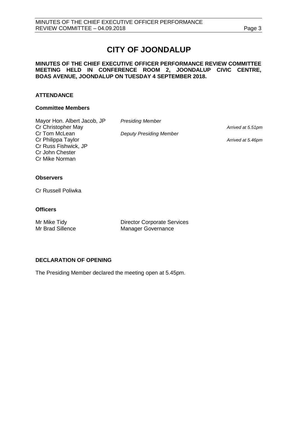# **CITY OF JOONDALUP**

#### **MINUTES OF THE CHIEF EXECUTIVE OFFICER PERFORMANCE REVIEW COMMITTEE MEETING HELD IN CONFERENCE ROOM 2, JOONDALUP CIVIC CENTRE, BOAS AVENUE, JOONDALUP ON TUESDAY 4 SEPTEMBER 2018.**

# **ATTENDANCE**

#### **Committee Members**

| <b>Presiding Member</b>        |                   |
|--------------------------------|-------------------|
|                                | Arrived at 5.51pm |
| <b>Deputy Presiding Member</b> |                   |
|                                | Arrived at 5.46pm |
|                                |                   |
|                                |                   |
|                                |                   |
|                                |                   |

## **Observers**

Cr Russell Poliwka

#### **Officers**

Mr Mike Tidy<br>
Mr Brad Sillence<br>
Manager Governance<br>
Manager Governance Manager Governance

## <span id="page-2-0"></span>**DECLARATION OF OPENING**

The Presiding Member declared the meeting open at 5.45pm.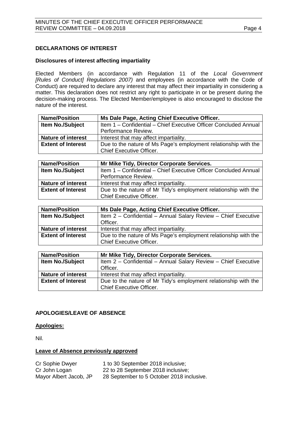# <span id="page-3-0"></span>**DECLARATIONS OF INTEREST**

#### **Disclosures of interest affecting impartiality**

Elected Members (in accordance with Regulation 11 of the *Local Government [Rules of Conduct] Regulations 2007)* and employees (in accordance with the Code of Conduct) are required to declare any interest that may affect their impartiality in considering a matter. This declaration does not restrict any right to participate in or be present during the decision-making process. The Elected Member/employee is also encouraged to disclose the nature of the interest.

| <b>Name/Position</b>      | Ms Dale Page, Acting Chief Executive Officer.                                                             |
|---------------------------|-----------------------------------------------------------------------------------------------------------|
| Item No./Subject          | Item 1 - Confidential - Chief Executive Officer Concluded Annual                                          |
|                           | Performance Review.                                                                                       |
| <b>Nature of interest</b> | Interest that may affect impartiality.                                                                    |
| <b>Extent of Interest</b> | Due to the nature of Ms Page's employment relationship with the                                           |
|                           | <b>Chief Executive Officer.</b>                                                                           |
|                           |                                                                                                           |
| <b>Name/Position</b>      | Mr Mike Tidy, Director Corporate Services.                                                                |
| Item No./Subject          | Item 1 - Confidential - Chief Executive Officer Concluded Annual                                          |
|                           | Performance Review.                                                                                       |
| <b>Nature of interest</b> | Interest that may affect impartiality.                                                                    |
| <b>Extent of Interest</b> | Due to the nature of Mr Tidy's employment relationship with the                                           |
|                           | <b>Chief Executive Officer.</b>                                                                           |
|                           |                                                                                                           |
| <b>Name/Position</b>      | Ms Dale Page, Acting Chief Executive Officer.                                                             |
| Item No./Subject          | Item 2 - Confidential - Annual Salary Review - Chief Executive                                            |
|                           | Officer.                                                                                                  |
| <b>Nature of interest</b> | Interest that may affect impartiality.                                                                    |
| <b>Extent of Interest</b> | Due to the nature of Ms Page's employment relationship with the                                           |
|                           | <b>Chief Executive Officer.</b>                                                                           |
|                           |                                                                                                           |
| <b>Name/Position</b>      | Mr Mike Tidy, Director Corporate Services.                                                                |
| <b>Item No./Subject</b>   | Item 2 - Confidential - Annual Salary Review - Chief Executive                                            |
|                           | Officer.                                                                                                  |
| <b>Nature of interest</b> |                                                                                                           |
|                           | Interest that may affect impartiality.<br>Due to the nature of Mr Tidy's employment relationship with the |

Chief Executive Officer.

## <span id="page-3-1"></span>**APOLOGIES/LEAVE OF ABSENCE**

## **Apologies:**

Nil.

## **Leave of Absence previously approved**

| Cr Sophie Dwyer        | 1 to 30 September 2018 inclusive;         |
|------------------------|-------------------------------------------|
| Cr John Logan          | 22 to 28 September 2018 inclusive;        |
| Mayor Albert Jacob, JP | 28 September to 5 October 2018 inclusive. |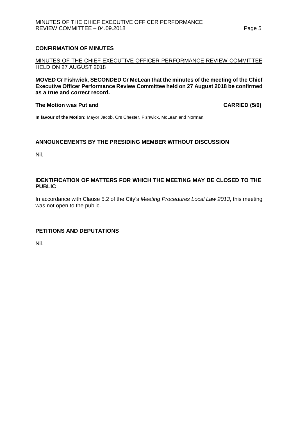# <span id="page-4-0"></span>**CONFIRMATION OF MINUTES**

MINUTES OF THE CHIEF EXECUTIVE OFFICER PERFORMANCE REVIEW COMMITTEE HELD ON 27 AUGUST 2018

**MOVED Cr Fishwick, SECONDED Cr McLean that the minutes of the meeting of the Chief Executive Officer Performance Review Committee held on 27 August 2018 be confirmed as a true and correct record.**

#### **The Motion was Put and CARRIED (5/0)**

**In favour of the Motion:** Mayor Jacob, Crs Chester, Fishwick, McLean and Norman.

## <span id="page-4-1"></span>**ANNOUNCEMENTS BY THE PRESIDING MEMBER WITHOUT DISCUSSION**

Nil.

## <span id="page-4-2"></span>**IDENTIFICATION OF MATTERS FOR WHICH THE MEETING MAY BE CLOSED TO THE PUBLIC**

In accordance with Clause 5.2 of the City's *Meeting Procedures Local Law 2013*, this meeting was not open to the public.

# <span id="page-4-3"></span>**PETITIONS AND DEPUTATIONS**

Nil.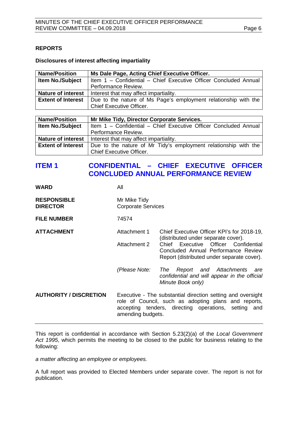# <span id="page-5-0"></span>**REPORTS**

#### **Disclosures of interest affecting impartiality**

| <b>Name/Position</b>      | Ms Dale Page, Acting Chief Executive Officer.                    |  |
|---------------------------|------------------------------------------------------------------|--|
| <b>Item No./Subject</b>   | Item 1 - Confidential - Chief Executive Officer Concluded Annual |  |
|                           | Performance Review.                                              |  |
| <b>Nature of interest</b> | Interest that may affect impartiality.                           |  |
| <b>Extent of Interest</b> | Due to the nature of Ms Page's employment relationship with the  |  |
|                           | <b>Chief Executive Officer.</b>                                  |  |

| <b>Name/Position</b>      | Mr Mike Tidy, Director Corporate Services.                       |  |  |
|---------------------------|------------------------------------------------------------------|--|--|
| <b>Item No./Subject</b>   | Item 1 - Confidential - Chief Executive Officer Concluded Annual |  |  |
|                           | Performance Review.                                              |  |  |
| <b>Nature of interest</b> | Interest that may affect impartiality.                           |  |  |
| <b>Extent of Interest</b> | Due to the nature of Mr Tidy's employment relationship with the  |  |  |
|                           | <b>Chief Executive Officer.</b>                                  |  |  |

# <span id="page-5-1"></span>**ITEM 1 CONFIDENTIAL – CHIEF EXECUTIVE OFFICER CONCLUDED ANNUAL PERFORMANCE REVIEW**

| WARD                                  | All                                                                                                                                                                                              |                                                                                                                                                                                                                |  |
|---------------------------------------|--------------------------------------------------------------------------------------------------------------------------------------------------------------------------------------------------|----------------------------------------------------------------------------------------------------------------------------------------------------------------------------------------------------------------|--|
| <b>RESPONSIBLE</b><br><b>DIRECTOR</b> | Mr Mike Tidy<br><b>Corporate Services</b>                                                                                                                                                        |                                                                                                                                                                                                                |  |
| <b>FILE NUMBER</b>                    | 74574                                                                                                                                                                                            |                                                                                                                                                                                                                |  |
| <b>ATTACHMENT</b>                     | Attachment 1<br><b>Attachment 2</b>                                                                                                                                                              | Chief Executive Officer KPI's for 2018-19,<br>(distributed under separate cover).<br>Chief Executive Officer Confidential<br>Concluded Annual Performance Review<br>Report (distributed under separate cover). |  |
|                                       | (Please Note:                                                                                                                                                                                    | Report and Attachments<br>The<br>are<br>confidential and will appear in the official<br>Minute Book only)                                                                                                      |  |
| <b>AUTHORITY / DISCRETION</b>         | Executive - The substantial direction setting and oversight<br>role of Council, such as adopting plans and reports,<br>accepting tenders, directing operations, setting and<br>amending budgets. |                                                                                                                                                                                                                |  |

This report is confidential in accordance with Section 5.23(2)(a) of the *Local Government Act 1995*, which permits the meeting to be closed to the public for business relating to the following:

*a matter affecting an employee or employees.*

A full report was provided to Elected Members under separate cover. The report is not for publication.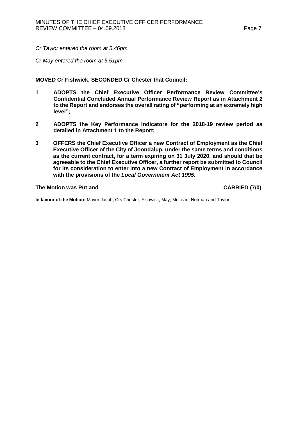*Cr Taylor entered the room at 5.46pm.*

*Cr May entered the room at 5.51pm.*

**MOVED Cr Fishwick, SECONDED Cr Chester that Council:**

- **1 ADOPTS the Chief Executive Officer Performance Review Committee's Confidential Concluded Annual Performance Review Report as in Attachment 2 to the Report and endorses the overall rating of "performing at an extremely high level";**
- **2 ADOPTS the Key Performance Indicators for the 2018-19 review period as detailed in Attachment 1 to the Report;**
- **3 OFFERS the Chief Executive Officer a new Contract of Employment as the Chief Executive Officer of the City of Joondalup, under the same terms and conditions as the current contract, for a term expiring on 31 July 2020, and should that be agreeable to the Chief Executive Officer, a further report be submitted to Council for its consideration to enter into a new Contract of Employment in accordance with the provisions of the** *Local Government Act 1995***.**

#### **The Motion was Put and CARRIED (7/0)**

**In favour of the Motion:** Mayor Jacob, Crs Chester, Fishwick, May, McLean, Norman and Taylor.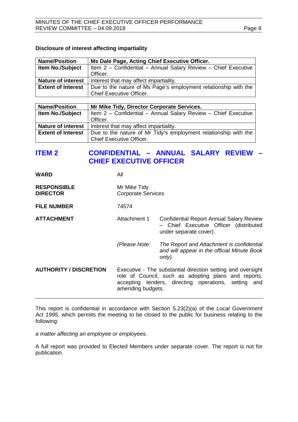#### **Disclosure of interest affecting impartiality**

| Ms Dale Page, Acting Chief Executive Officer.                                             |  |
|-------------------------------------------------------------------------------------------|--|
| <b>Item No./Subject</b><br>Item 2 - Confidential - Annual Salary Review - Chief Executive |  |
| Officer.                                                                                  |  |
| Interest that may affect impartiality.                                                    |  |
| Due to the nature of Ms Page's employment relationship with the                           |  |
| <b>Chief Executive Officer.</b>                                                           |  |
|                                                                                           |  |

| <b>Name/Position</b>                                                                         | Mr Mike Tidy, Director Corporate Services.                     |  |
|----------------------------------------------------------------------------------------------|----------------------------------------------------------------|--|
| <b>Item No./Subject</b>                                                                      | Item 2 - Confidential - Annual Salary Review - Chief Executive |  |
|                                                                                              | Officer.                                                       |  |
| <b>Nature of interest</b>                                                                    | Interest that may affect impartiality.                         |  |
| Due to the nature of Mr Tidy's employment relationship with the<br><b>Extent of Interest</b> |                                                                |  |
|                                                                                              | <b>Chief Executive Officer.</b>                                |  |

# <span id="page-7-0"></span>**ITEM 2 CONFIDENTIAL – ANNUAL SALARY REVIEW – CHIEF EXECUTIVE OFFICER**

| <b>RESPONSIBLE</b> | Mr Mike Tidy              |
|--------------------|---------------------------|
| <b>DIRECTOR</b>    | <b>Corporate Services</b> |

**FILE NUMBER** 74574

**WARD** All

**ATTACHMENT** Attachment 1 Confidential Report Annual Salary Review – Chief Executive Officer (distributed under separate cover).

- *(Please Note: The Report and Attachment is confidential and will appear in the official Minute Book only).*
- **AUTHORITY / DISCRETION** Executive The substantial direction setting and oversight role of Council, such as adopting plans and reports, accepting tenders, directing operations, setting and amending budgets.

This report is confidential in accordance with Section 5.23(2)(a) of the *Local Government Act 1995*, which permits the meeting to be closed to the public for business relating to the following:

*a matter affecting an employee or employees.*

A full report was provided to Elected Members under separate cover. The report is not for publication.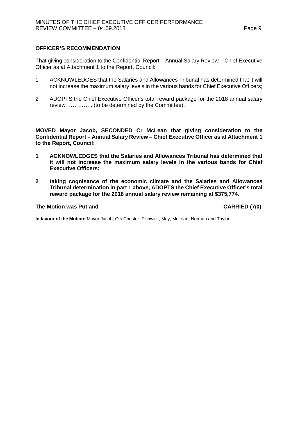#### **OFFICER'S RECOMMENDATION**

That giving consideration to the Confidential Report – Annual Salary Review – Chief Executive Officer as at Attachment 1 to the Report, Council:

- 1 ACKNOWLEDGES that the Salaries and Allowances Tribunal has determined that it will not increase the maximum salary levels in the various bands for Chief Executive Officers;
- 2 ADOPTS the Chief Executive Officer's total reward package for the 2018 annual salary review …………...(to be determined by the Committee).

**MOVED Mayor Jacob, SECONDED Cr McLean that giving consideration to the Confidential Report – Annual Salary Review – Chief Executive Officer as at Attachment 1 to the Report, Council:**

- **1 ACKNOWLEDGES that the Salaries and Allowances Tribunal has determined that it will not increase the maximum salary levels in the various bands for Chief Executive Officers;**
- **2 taking cognisance of the economic climate and the Salaries and Allowances Tribunal determination in part 1 above, ADOPTS the Chief Executive Officer's total reward package for the 2018 annual salary review remaining at \$375,774.**

#### **The Motion was Put and CARRIED (7/0)**

**In favour of the Motion:** Mayor Jacob, Crs Chester, Fishwick, May, McLean, Norman and Taylor.